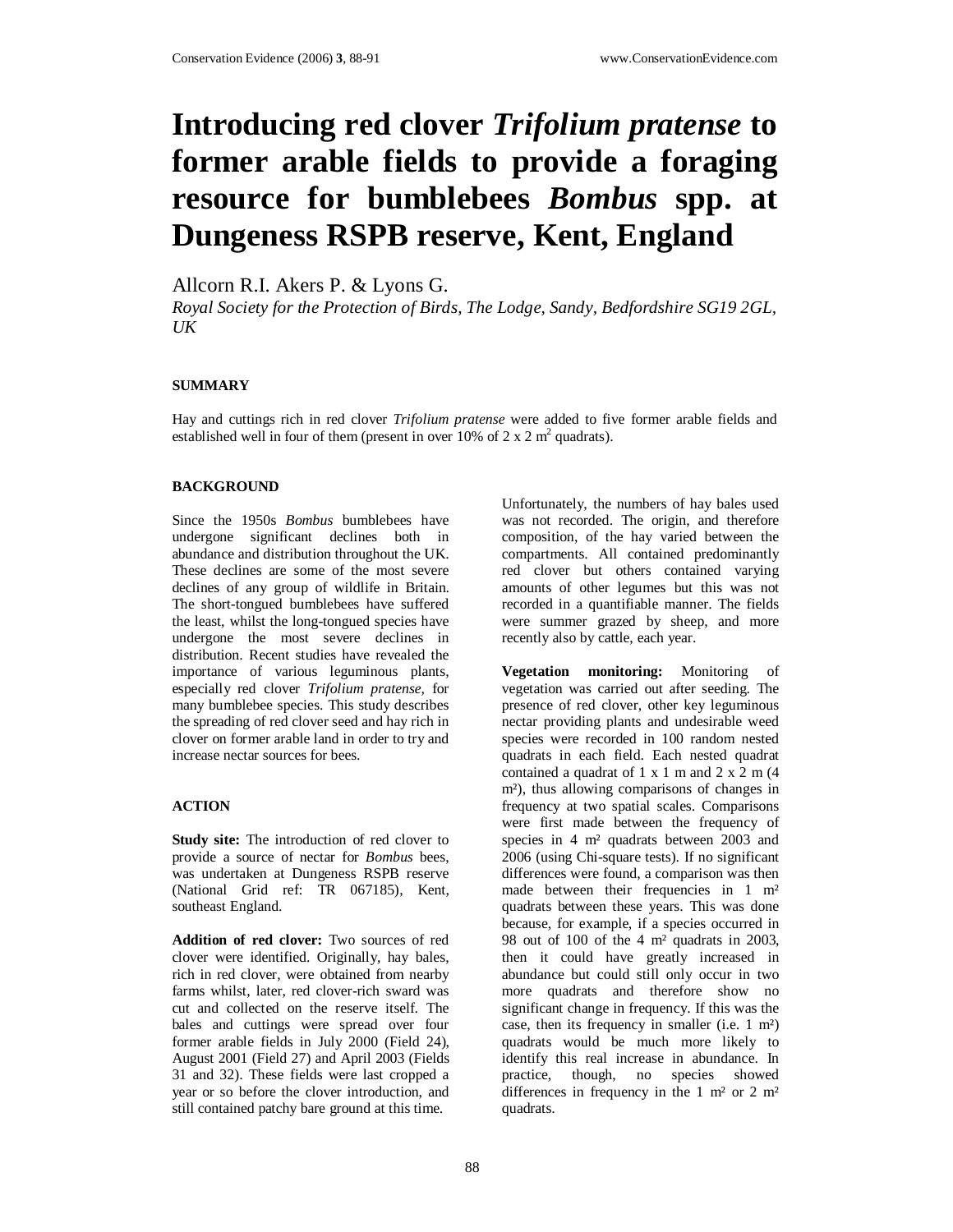# **Introducing red clover** *Trifolium pratense* **to former arable fields to provide a foraging resource for bumblebees** *Bombus* **spp. at Dungeness RSPB reserve, Kent, England**

Allcorn R.I. Akers P. & Lyons G.

*Royal Society for the Protection of Birds, The Lodge, Sandy, Bedfordshire SG19 2GL, UK* 

### **SUMMARY**

Hay and cuttings rich in red clover *Trifolium pratense* were added to five former arable fields and established well in four of them (present in over 10% of 2 x 2  $m<sup>2</sup>$  quadrats).

#### **BACKGROUND**

Since the 1950s *Bombus* bumblebees have undergone significant declines both in abundance and distribution throughout the UK. These declines are some of the most severe declines of any group of wildlife in Britain. The short-tongued bumblebees have suffered the least, whilst the long-tongued species have undergone the most severe declines in distribution. Recent studies have revealed the importance of various leguminous plants, especially red clover *Trifolium pratense,* for many bumblebee species. This study describes the spreading of red clover seed and hay rich in clover on former arable land in order to try and increase nectar sources for bees.

#### **ACTION**

**Study site:** The introduction of red clover to provide a source of nectar for *Bombus* bees, was undertaken at Dungeness RSPB reserve (National Grid ref: TR 067185), Kent, southeast England.

**Addition of red clover:** Two sources of red clover were identified. Originally, hay bales, rich in red clover, were obtained from nearby farms whilst, later, red clover-rich sward was cut and collected on the reserve itself. The bales and cuttings were spread over four former arable fields in July 2000 (Field 24), August 2001 (Field 27) and April 2003 (Fields 31 and 32). These fields were last cropped a year or so before the clover introduction, and still contained patchy bare ground at this time.

Unfortunately, the numbers of hay bales used was not recorded. The origin, and therefore composition, of the hay varied between the compartments. All contained predominantly red clover but others contained varying amounts of other legumes but this was not recorded in a quantifiable manner. The fields were summer grazed by sheep, and more recently also by cattle, each year.

**Vegetation monitoring:** Monitoring of vegetation was carried out after seeding. The presence of red clover, other key leguminous nectar providing plants and undesirable weed species were recorded in 100 random nested quadrats in each field. Each nested quadrat contained a quadrat of  $1 \times 1$  m and  $2 \times 2$  m  $(4)$ m²), thus allowing comparisons of changes in frequency at two spatial scales. Comparisons were first made between the frequency of species in 4 m² quadrats between 2003 and 2006 (using Chi-square tests). If no significant differences were found, a comparison was then made between their frequencies in 1 m<sup>2</sup> quadrats between these years. This was done because, for example, if a species occurred in 98 out of 100 of the 4 m² quadrats in 2003, then it could have greatly increased in abundance but could still only occur in two more quadrats and therefore show no significant change in frequency. If this was the case, then its frequency in smaller (i.e. 1 m²) quadrats would be much more likely to identify this real increase in abundance. In practice, though, no species showed differences in frequency in the 1  $m<sup>2</sup>$  or 2  $m<sup>2</sup>$ quadrats.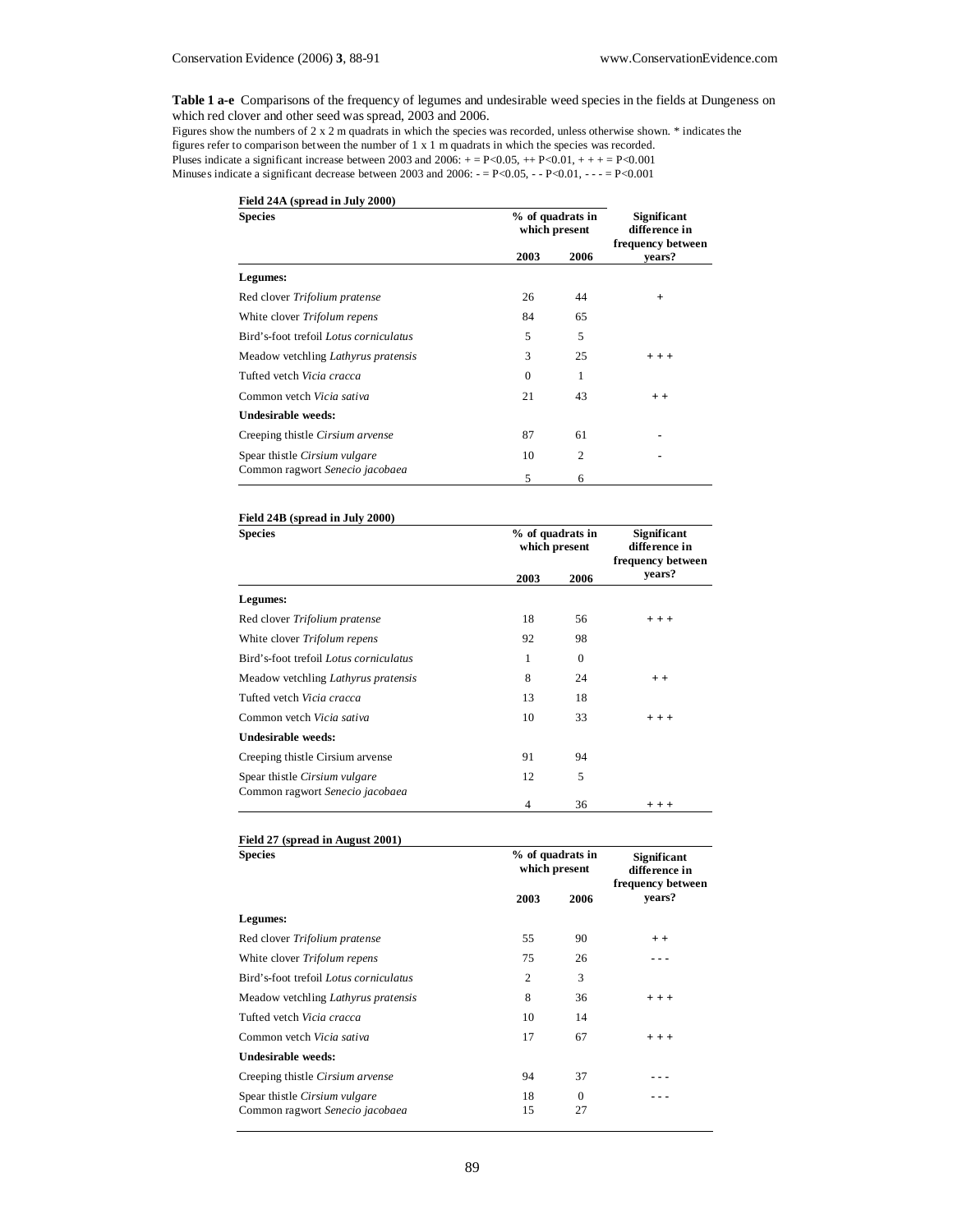**Table 1 a-e** Comparisons of the frequency of legumes and undesirable weed species in the fields at Dungeness on which red clover and other seed was spread, 2003 and 2006.

Figures show the numbers of 2 x 2 m quadrats in which the species was recorded, unless otherwise shown. \* indicates the figures refer to comparison between the number of 1 x 1 m quadrats in which the species was recorded. Pluses indicate a significant increase between 2003 and 2006:  $+ = P < 0.05$ ,  $+ P < 0.01$ ,  $+ + + = P < 0.001$ Minuses indicate a significant decrease between 2003 and 2006:  $-$  = P<0.05,  $-$  - P<0.01,  $-$  - = P<0.001

| Field 24A (spread in July 2000)        |          |                                   |                             |
|----------------------------------------|----------|-----------------------------------|-----------------------------|
| <b>Species</b>                         |          | % of quadrats in<br>which present |                             |
|                                        | 2003     | 2006                              | frequency between<br>vears? |
| Legumes:                               |          |                                   |                             |
| Red clover Trifolium pratense          | 26       | 44                                | $+$                         |
| White clover Trifolum repens           | 84       | 65                                |                             |
| Bird's-foot trefoil Lotus corniculatus | 5        | 5                                 |                             |
| Meadow vetchling Lathyrus pratensis    | 3        | 25                                | $+ + +$                     |
| Tufted vetch Vicia cracca              | $\Omega$ |                                   |                             |
| Common vetch Vicia sativa              | 21       | 43                                | $+ +$                       |
| Undesirable weeds:                     |          |                                   |                             |
| Creeping thistle Cirsium arvense       | 87       | 61                                |                             |
| Spear thistle Cirsium vulgare          | 10       | $\overline{2}$                    |                             |
| Common ragwort Senecio jacobaea        | 5        | 6                                 |                             |

| Field 24B (spread in July 2000)                                  |                                   |          |                                                          |  |
|------------------------------------------------------------------|-----------------------------------|----------|----------------------------------------------------------|--|
| <b>Species</b>                                                   | % of quadrats in<br>which present |          | <b>Significant</b><br>difference in<br>frequency between |  |
|                                                                  | 2003                              | 2006     | vears?                                                   |  |
| Legumes:                                                         |                                   |          |                                                          |  |
| Red clover Trifolium pratense                                    | 18                                | 56       | $+ + +$                                                  |  |
| White clover <i>Trifolum repens</i>                              | 92                                | 98       |                                                          |  |
| Bird's-foot trefoil Lotus corniculatus                           | 1                                 | $\Omega$ |                                                          |  |
| Meadow vetchling <i>Lathyrus pratensis</i>                       | 8                                 | 24       | $+ +$                                                    |  |
| Tufted vetch Vicia cracca                                        | 13                                | 18       |                                                          |  |
| Common vetch Vicia sativa                                        | 10                                | 33       | $+ + +$                                                  |  |
| Undesirable weeds:                                               |                                   |          |                                                          |  |
| Creeping thistle Cirsium arvense                                 | 91                                | 94       |                                                          |  |
| Spear thistle Cirsium vulgare<br>Common ragwort Senecio jacobaea | 12                                | 5        |                                                          |  |
|                                                                  | $\overline{4}$                    | 36       | $+ + +$                                                  |  |

| Field 27 (spread in August 2001)                                 |                                   |                |                                                          |  |
|------------------------------------------------------------------|-----------------------------------|----------------|----------------------------------------------------------|--|
| <b>Species</b>                                                   | % of quadrats in<br>which present |                | <b>Significant</b><br>difference in<br>frequency between |  |
|                                                                  | 2003                              | 2006           | vears?                                                   |  |
| Legumes:                                                         |                                   |                |                                                          |  |
| Red clover Trifolium pratense                                    | 55                                | 90             | $+ +$                                                    |  |
| White clover Trifolum repens                                     | 75                                | 26             |                                                          |  |
| Bird's-foot trefoil Lotus corniculatus                           | 2                                 | 3              |                                                          |  |
| Meadow vetchling <i>Lathyrus pratensis</i>                       | 8                                 | 36             | $+ + +$                                                  |  |
| Tufted vetch Vicia cracca                                        | 10                                | 14             |                                                          |  |
| Common vetch Vicia sativa                                        | 17                                | 67             | $+ + +$                                                  |  |
| Undesirable weeds:                                               |                                   |                |                                                          |  |
| Creeping thistle Cirsium arvense                                 | 94                                | 37             |                                                          |  |
| Spear thistle Cirsium vulgare<br>Common ragwort Senecio jacobaea | 18<br>15                          | $\Omega$<br>27 |                                                          |  |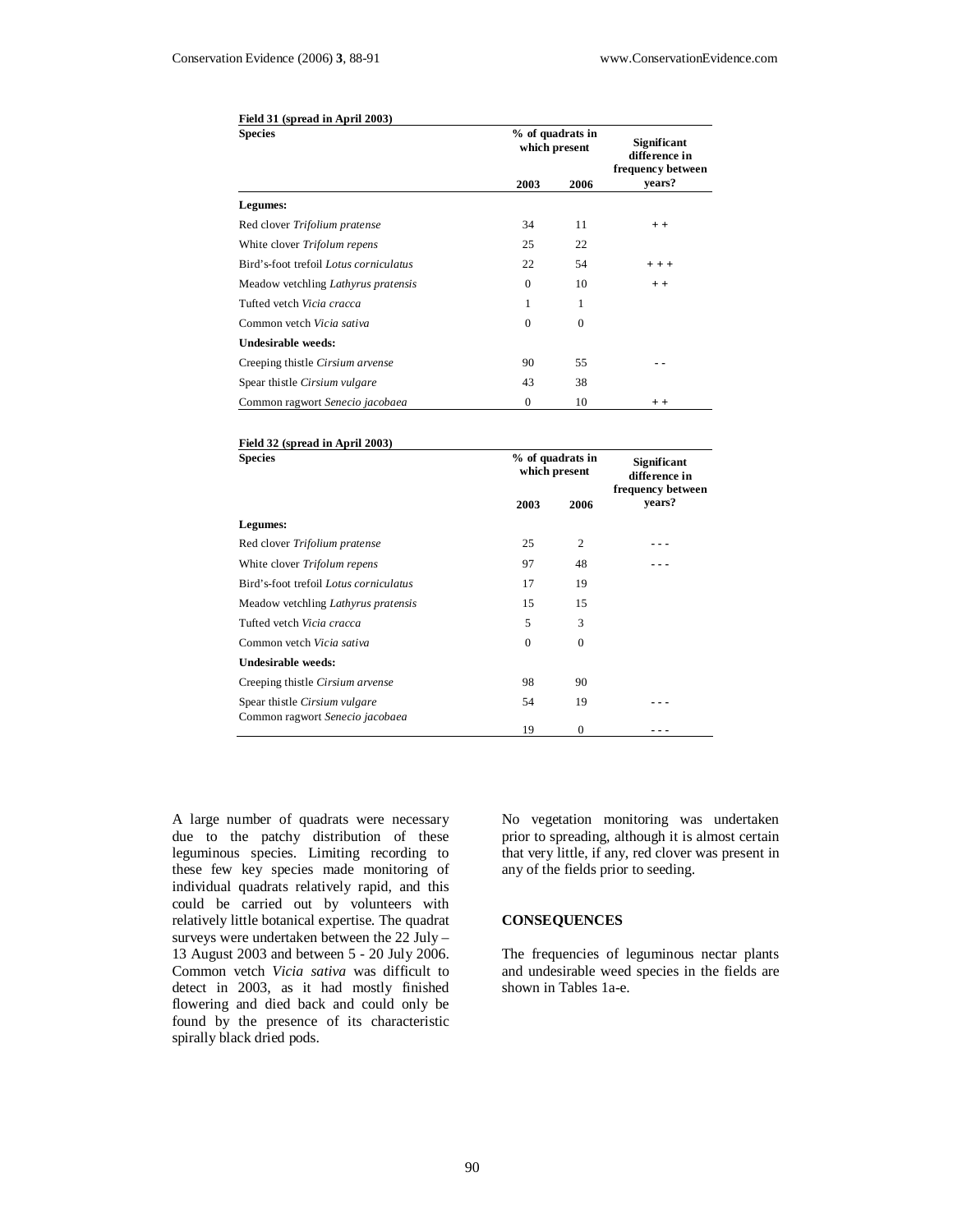| Field 31 (spread in April 2003)<br><b>Species</b> | % of quadrats in<br>which present |                | <b>Significant</b><br>difference in |
|---------------------------------------------------|-----------------------------------|----------------|-------------------------------------|
|                                                   | 2003                              | 2006           | frequency between<br>years?         |
| Legumes:                                          |                                   |                |                                     |
| Red clover Trifolium pratense                     | 34                                | 11             | $+ +$                               |
| White clover Trifolum repens                      | 25                                | 22             |                                     |
| Bird's-foot trefoil Lotus corniculatus            | 22                                | 54             | $+ + +$                             |
| Meadow vetchling <i>Lathyrus pratensis</i>        | $\Omega$                          | 10             | $+ +$                               |
| Tufted vetch Vicia cracca                         | 1                                 | 1              |                                     |
| Common vetch Vicia sativa                         | $\Omega$                          | $\overline{0}$ |                                     |
| Undesirable weeds:                                |                                   |                |                                     |
| Creeping thistle Cirsium arvense                  | 90                                | 55             |                                     |
| Spear thistle Cirsium vulgare                     | 43                                | 38             |                                     |
| Common ragwort Senecio jacobaea                   | $\mathbf{0}$                      | 10             | $+ +$                               |

## **Field 32 (spread in April 2003)**

| <b>Species</b>                                                   | % of quadrats in<br>which present |                | <b>Significant</b><br>difference in<br>frequency between |
|------------------------------------------------------------------|-----------------------------------|----------------|----------------------------------------------------------|
|                                                                  | 2003                              | 2006           | years?                                                   |
| Legumes:                                                         |                                   |                |                                                          |
| Red clover Trifolium pratense                                    | 25                                | $\overline{c}$ |                                                          |
| White clover Trifolum repens                                     | 97                                | 48             |                                                          |
| Bird's-foot trefoil Lotus corniculatus                           | 17                                | 19             |                                                          |
| Meadow vetchling <i>Lathyrus pratensis</i>                       | 15                                | 15             |                                                          |
| Tufted vetch Vicia cracca                                        | 5                                 | 3              |                                                          |
| Common vetch Vicia sativa                                        | $\Omega$                          | $\mathbf{0}$   |                                                          |
| Undesirable weeds:                                               |                                   |                |                                                          |
| Creeping thistle Cirsium arvense                                 | 98                                | 90             |                                                          |
| Spear thistle Cirsium vulgare<br>Common ragwort Senecio jacobaea | 54                                | 19             |                                                          |
|                                                                  | 19                                | $\mathbf{0}$   |                                                          |

A large number of quadrats were necessary due to the patchy distribution of these leguminous species. Limiting recording to these few key species made monitoring of individual quadrats relatively rapid, and this could be carried out by volunteers with relatively little botanical expertise. The quadrat surveys were undertaken between the 22 July – 13 August 2003 and between 5 - 20 July 2006. Common vetch *Vicia sativa* was difficult to detect in 2003, as it had mostly finished flowering and died back and could only be found by the presence of its characteristic spirally black dried pods.

No vegetation monitoring was undertaken prior to spreading, although it is almost certain that very little, if any, red clover was present in any of the fields prior to seeding.

#### **CONSEQUENCES**

The frequencies of leguminous nectar plants and undesirable weed species in the fields are shown in Tables 1a-e.